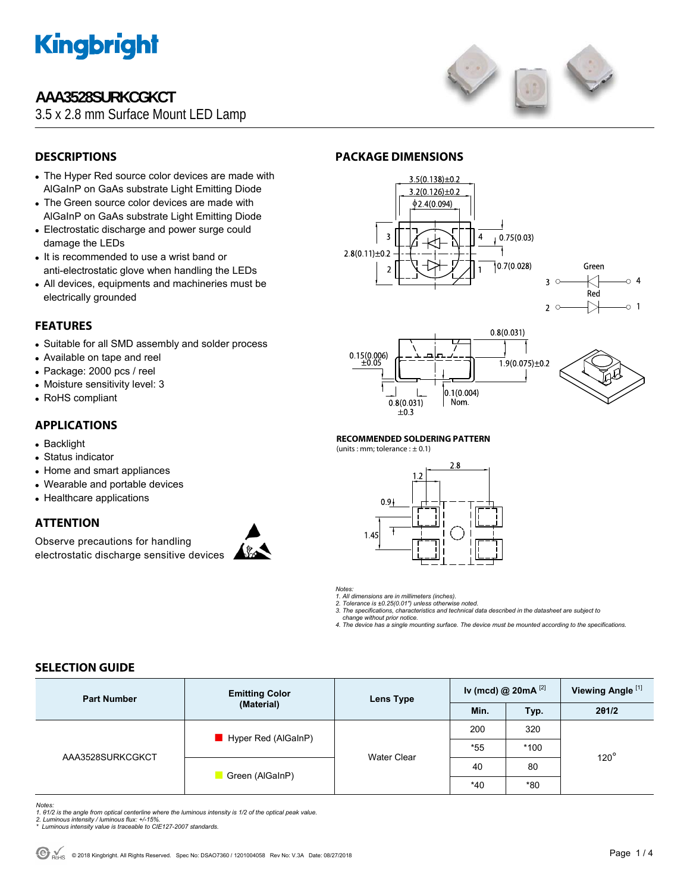

## **AAA3528SURKCGKCT**

3.5 x 2.8 mm Surface Mount LED Lamp



### **DESCRIPTIONS**

- The Hyper Red source color devices are made with AlGaInP on GaAs substrate Light Emitting Diode
- The Green source color devices are made with AlGaInP on GaAs substrate Light Emitting Diode
- Electrostatic discharge and power surge could damage the LEDs
- It is recommended to use a wrist band or anti-electrostatic glove when handling the LEDs
- All devices, equipments and machineries must be electrically grounded

#### **FEATURES**

- Suitable for all SMD assembly and solder process
- Available on tape and reel
- Package: 2000 pcs / reel
- Moisture sensitivity level: 3
- RoHS compliant

#### **APPLICATIONS**

- Backlight
- Status indicator
- Home and smart appliances
- Wearable and portable devices
- Healthcare applications

#### **ATTENTION**

Observe precautions for handling electrostatic discharge sensitive devices



#### **PACKAGE DIMENSIONS**







#### **RECOMMENDED SOLDERING PATTERN**

(units : mm; tolerance :  $\pm$  0.1)



- *Notes:*
- *1. All dimensions are in millimeters (inches). 2. Tolerance is ±0.25(0.01") unless otherwise noted.*
- *3. The specifications, characteristics and technical data described in the datasheet are subject to*
- *change without prior notice.*
- *4. The device has a single mounting surface. The device must be mounted according to the specifications.*

#### **SELECTION GUIDE**

| <b>Part Number</b> | <b>Emitting Color</b><br>(Material) | Lens Type          | Iv (mcd) @ 20mA $^{[2]}$ |        | Viewing Angle <sup>[1]</sup> |
|--------------------|-------------------------------------|--------------------|--------------------------|--------|------------------------------|
|                    |                                     |                    | Min.                     | Typ.   | 201/2                        |
| AAA3528SURKCGKCT   | Hyper Red (AlGaInP)                 | <b>Water Clear</b> | 200                      | 320    | $120^\circ$                  |
|                    |                                     |                    | $*55$                    | $*100$ |                              |
|                    | Green (AlGaInP)                     |                    | 40                       | 80     |                              |
|                    |                                     |                    | $*40$                    | *80    |                              |

*Notes:* 

- 1. 01/2 is the angle from optical centerline where the luminous intensity is 1/2 of the optical peak value.<br>2. Luminous intensity / luminous flux: +/-15%.<br>\* Luminous intensity value is traceable to CIE127-2007 standards.
-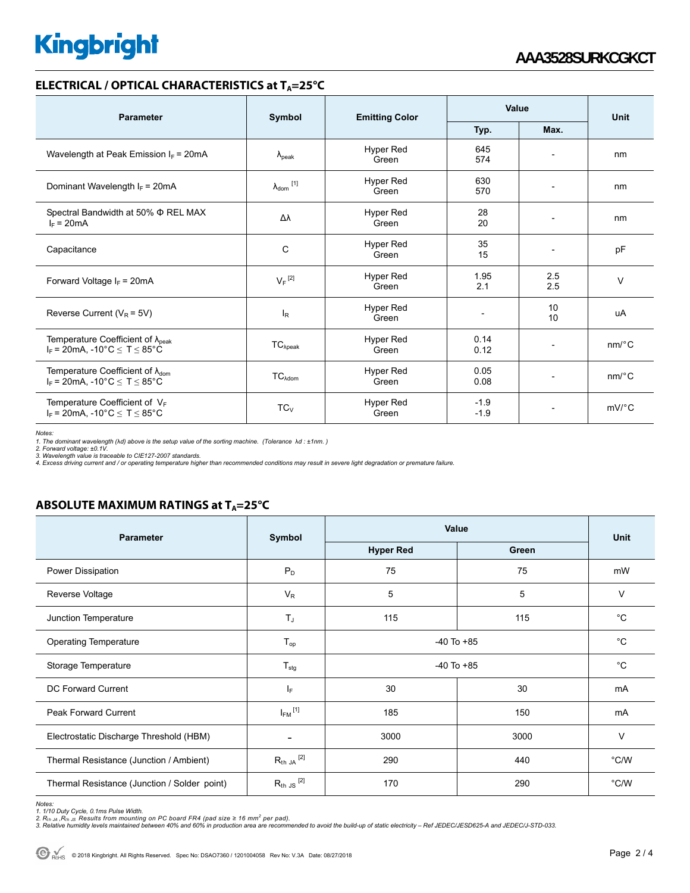# **Kingbright**

#### **ELECTRICAL / OPTICAL CHARACTERISTICS at T<sub>A</sub>=25°C**

| <b>Parameter</b>                                                                                    | Symbol                     | <b>Emitting Color</b> | Value            |                          | <b>Unit</b> |
|-----------------------------------------------------------------------------------------------------|----------------------------|-----------------------|------------------|--------------------------|-------------|
|                                                                                                     |                            |                       | Typ.             | Max.                     |             |
| Wavelength at Peak Emission $I_F$ = 20mA                                                            | $\lambda_{\text{peak}}$    | Hyper Red<br>Green    | 645<br>574       | $\overline{\phantom{a}}$ | nm          |
| Dominant Wavelength $I_F = 20 \text{mA}$                                                            | $\lambda_{\text{dom}}$ [1] | Hyper Red<br>Green    | 630<br>570       | $\overline{\phantom{a}}$ | nm          |
| Spectral Bandwidth at 50% $\Phi$ REL MAX<br>$I_F = 20mA$                                            | Δλ                         | Hyper Red<br>Green    | 28<br>20         | $\overline{\phantom{a}}$ | nm          |
| Capacitance                                                                                         | C                          | Hyper Red<br>Green    | 35<br>15         | $\overline{\phantom{0}}$ | pF          |
| Forward Voltage $I_F$ = 20mA                                                                        | $V_F$ <sup>[2]</sup>       | Hyper Red<br>Green    | 1.95<br>2.1      | 2.5<br>2.5               | $\vee$      |
| Reverse Current ( $V_R$ = 5V)                                                                       | $I_R$                      | Hyper Red<br>Green    |                  | 10<br>10                 | uA          |
| Temperature Coefficient of λ <sub>ρeak</sub><br>$I_F = 20 \text{mA}$ , -10°C $\le T \le 85$ °C      | $TC_{\lambda peak}$        | Hyper Red<br>Green    | 0.14<br>0.12     | $\overline{\phantom{a}}$ | $nm$ /°C    |
| Temperature Coefficient of $\lambda_{\text{dom}}$<br>$I_F = 20 \text{mA}$ , -10°C $\le T \le 85$ °C | $TC_{\lambda dom}$         | Hyper Red<br>Green    | 0.05<br>0.08     | $\overline{\phantom{a}}$ | $nm$ /°C    |
| Temperature Coefficient of VF<br>$I_F = 20$ mA, -10°C $\le T \le 85$ °C                             | $TC_V$                     | Hyper Red<br>Green    | $-1.9$<br>$-1.9$ | $\overline{\phantom{a}}$ | $mV$ °C     |

Notes:<br>1. The dominant wavelength (λd) above is the setup value of the sorting machine. (Tolerance λd : ±1nm. )<br>2. Forward voltage: ±0.1V.<br>3. Wavelength value is traceable to CIE127-2007 standards.<br>4. Excess driving curre

### **ABSOLUTE MAXIMUM RATINGS at T<sub>A</sub>=25°C**

| <b>Parameter</b>                             | Symbol               | Value            | <b>Unit</b> |             |
|----------------------------------------------|----------------------|------------------|-------------|-------------|
|                                              |                      | <b>Hyper Red</b> | Green       |             |
| Power Dissipation                            | $P_D$                | 75               | 75          | mW          |
| Reverse Voltage                              | $V_{R}$              | 5                | 5           | $\vee$      |
| Junction Temperature                         | $T_J$                | 115              | 115         | $^{\circ}C$ |
| <b>Operating Temperature</b>                 | $T_{op}$             | $-40$ To $+85$   | $^{\circ}C$ |             |
| Storage Temperature                          | $T_{\text{stg}}$     | $-40$ To $+85$   |             | $^{\circ}C$ |
| DC Forward Current                           | IF.                  | 30               | 30          | mA          |
| <b>Peak Forward Current</b>                  | $I_{FM}$ [1]         | 185              | 150         | <b>mA</b>   |
| Electrostatic Discharge Threshold (HBM)      |                      | 3000<br>3000     |             | $\vee$      |
| Thermal Resistance (Junction / Ambient)      | $R_{th}$ JA $^{[2]}$ | 290              | 440         | °C/W        |
| Thermal Resistance (Junction / Solder point) | $R_{th}$ JS $^{[2]}$ | 170              | 290         | °C/W        |

*Notes:* 

1. 1/10 Duty Cycle, 0.1ms Pulse Width.<br>2. R<sub>th Ju</sub> ,R<sub>h JS</sub> Results from mounting on PC board FR4 (pad size ≥ 16 mm² per pad).<br>3. Relative humidity levels maintained between 40% and 60% in production area are recommended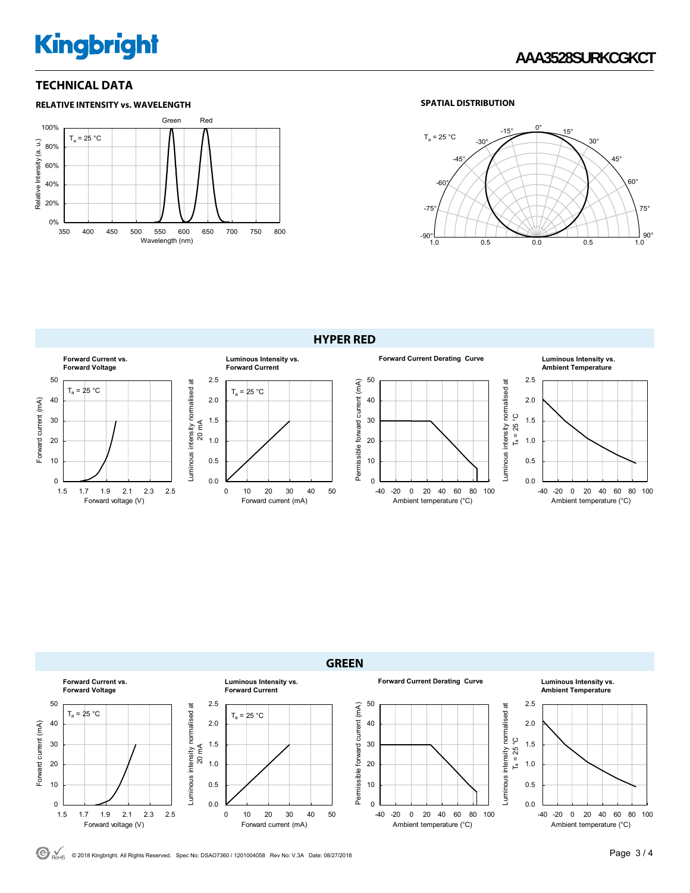# **Kingbright**

#### **TECHNICAL DATA**





**HYPER RED** 





 $\bigodot$ <sub>ROMS</sub> © 2018 Kingbright. All Rights Reserved. Spec No: DSAO7360 / 1201004058 Rev No: V.3A Date: 08/27/2018